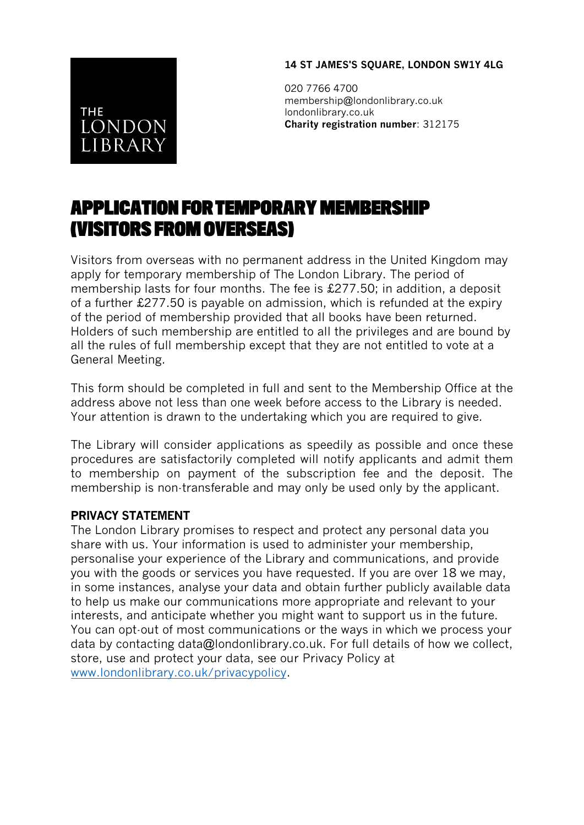## **14 ST JAMES'S SQUARE, LONDON SW1Y 4LG**

**THE LONDON LIBRARY** 

020 7766 4700 membership@londonlibrary.co.uk londonlibrary.co.uk **Charity registration number**: 312175

## **APPLICATION FOR TEMPORARY MEMBERSHIP** (VISITORS FROM OVERSEAS)

Visitors from overseas with no permanent address in the United Kingdom may apply for temporary membership of The London Library. The period of membership lasts for four months. The fee is £277.50; in addition, a deposit of a further £277.50 is payable on admission, which is refunded at the expiry of the period of membership provided that all books have been returned. Holders of such membership are entitled to all the privileges and are bound by all the rules of full membership except that they are not entitled to vote at a General Meeting.

This form should be completed in full and sent to the Membership Office at the address above not less than one week before access to the Library is needed. Your attention is drawn to the undertaking which you are required to give.

The Library will consider applications as speedily as possible and once these procedures are satisfactorily completed will notify applicants and admit them to membership on payment of the subscription fee and the deposit. The membership is non-transferable and may only be used only by the applicant.

## **PRIVACY STATEMENT**

The London Library promises to respect and protect any personal data you share with us. Your information is used to administer your membership, personalise your experience of the Library and communications, and provide you with the goods or services you have requested. If you are over 18 we may, in some instances, analyse your data and obtain further publicly available data to help us make our communications more appropriate and relevant to your interests, and anticipate whether you might want to support us in the future. You can opt-out of most communications or the ways in which we process your data by contacting data@londonlibrary.co.uk. For full details of how we collect, store, use and protect your data, see our Privacy Policy at [www.londonlibrary.co.uk/privacypolicy.](http://www.londonlibrary.co.uk/privacypolicy)